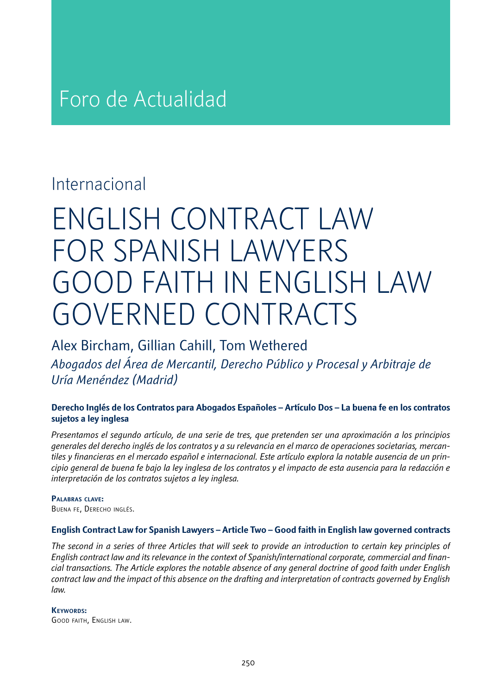# Foro de Actualidad

### Internacional

# ENGLISH CONTRACT LAW FOR SPANISH LAWYERS GOOD FAITH IN ENGLISH LAW GOVERNED CONTRACTS

### Alex Bircham, Gillian Cahill, Tom Wethered

*Abogados del Área de Mercantil, Derecho Público y Procesal y Arbitraje de Uría Menéndez (Madrid)*

#### **Derecho Inglés de los Contratos para Abogados Españoles – Artículo Dos – La buena fe en los contratos sujetos a ley inglesa**

*Presentamos el segundo artículo, de una serie de tres, que pretenden ser una aproximación a los principios generales del derecho inglés de los contratos y a su relevancia en el marco de operaciones societarias, mercantiles y financieras en el mercado español e internacional. Este artículo explora la notable ausencia de un principio general de buena fe bajo la ley inglesa de los contratos y el impacto de esta ausencia para la redacción e interpretación de los contratos sujetos a ley inglesa.*

#### **Palabras clave:**

Buena fe, Derecho inglés.

#### **English Contract Law for Spanish Lawyers – Article Two – Good faith in English law governed contracts**

*The second in a series of three Articles that will seek to provide an introduction to certain key principles of English contract law and its relevance in the context of Spanish/international corporate, commercial and financial transactions. The Article explores the notable absence of any general doctrine of good faith under English contract law and the impact of this absence on the drafting and interpretation of contracts governed by English law.*

**Keywords:**  Good faith, English law.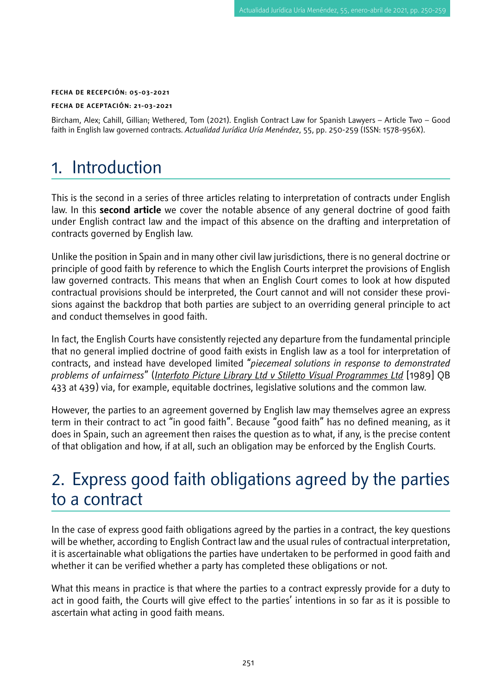#### **FECHA DE RECEPCIÓN: 05-03-2021**

#### **FECHA DE ACEPTACIÓN: 21-03-2021**

Bircham, Alex; Cahill, Gillian; Wethered, Tom (2021). English Contract Law for Spanish Lawyers – Article Two – Good faith in English law governed contracts. *Actualidad Jurídica Uría Menéndez*, 55, pp. 250-259 (ISSN: 1578-956X).

### 1. Introduction

This is the second in a series of three articles relating to interpretation of contracts under English law. In this **second article** we cover the notable absence of any general doctrine of good faith under English contract law and the impact of this absence on the drafting and interpretation of contracts governed by English law.

Unlike the position in Spain and in many other civil law jurisdictions, there is no general doctrine or principle of good faith by reference to which the English Courts interpret the provisions of English law governed contracts. This means that when an English Court comes to look at how disputed contractual provisions should be interpreted, the Court cannot and will not consider these provisions against the backdrop that both parties are subject to an overriding general principle to act and conduct themselves in good faith.

In fact, the English Courts have consistently rejected any departure from the fundamental principle that no general implied doctrine of good faith exists in English law as a tool for interpretation of contracts, and instead have developed limited "*piecemeal solutions in response to demonstrated problems of unfairness*" (*Interfoto Picture Library Ltd v Stiletto Visual Programmes Ltd* [1989] QB 433 at 439) via, for example, equitable doctrines, legislative solutions and the common law.

However, the parties to an agreement governed by English law may themselves agree an express term in their contract to act "in good faith". Because "good faith" has no defined meaning, as it does in Spain, such an agreement then raises the question as to what, if any, is the precise content of that obligation and how, if at all, such an obligation may be enforced by the English Courts.

### 2. Express good faith obligations agreed by the parties to a contract

In the case of express good faith obligations agreed by the parties in a contract, the key questions will be whether, according to English Contract law and the usual rules of contractual interpretation, it is ascertainable what obligations the parties have undertaken to be performed in good faith and whether it can be verified whether a party has completed these obligations or not.

What this means in practice is that where the parties to a contract expressly provide for a duty to act in good faith, the Courts will give effect to the parties' intentions in so far as it is possible to ascertain what acting in good faith means.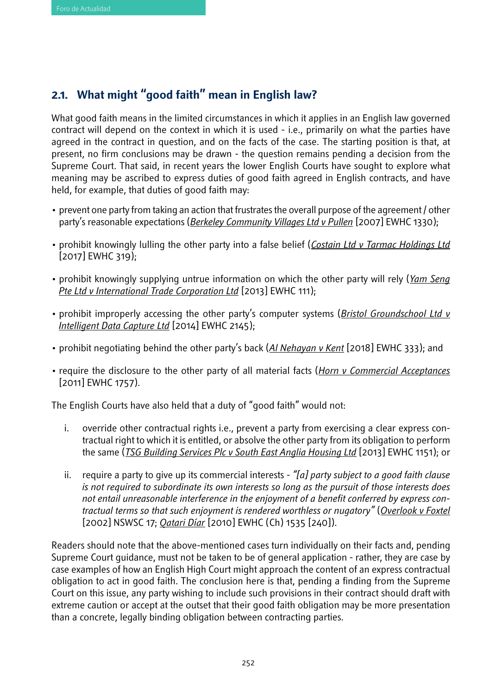### **2.1. What might "good faith" mean in English law?**

What good faith means in the limited circumstances in which it applies in an English law governed contract will depend on the context in which it is used - i.e., primarily on what the parties have agreed in the contract in question, and on the facts of the case. The starting position is that, at present, no firm conclusions may be drawn - the question remains pending a decision from the Supreme Court. That said, in recent years the lower English Courts have sought to explore what meaning may be ascribed to express duties of good faith agreed in English contracts, and have held, for example, that duties of good faith may:

- prevent one party from taking an action that frustrates the overall purpose of the agreement / other party's reasonable expectations (*Berkeley Community Villages Ltd v Pullen* [2007] EWHC 1330);
- prohibit knowingly lulling the other party into a false belief (*Costain Ltd v Tarmac Holdings Ltd* [2017] EWHC 319);
- prohibit knowingly supplying untrue information on which the other party will rely (*Yam Seng Pte Ltd v International Trade Corporation Ltd* [2013] EWHC 111);
- prohibit improperly accessing the other party's computer systems (*Bristol Groundschool Ltd v Intelligent Data Capture Ltd* [2014] EWHC 2145);
- prohibit negotiating behind the other party's back (*Al Nehayan v Kent* [2018] EWHC 333); and
- require the disclosure to the other party of all material facts (*Horn v Commercial Acceptances* [2011] EWHC 1757).

The English Courts have also held that a duty of "good faith" would not:

- i. override other contractual rights i.e., prevent a party from exercising a clear express contractual right to which it is entitled, or absolve the other party from its obligation to perform the same (*TSG Building Services Plc v South East Anglia Housing Ltd* [2013] EWHC 1151); or
- ii. require a party to give up its commercial interests *"[a] party subject to a good faith clause is not required to subordinate its own interests so long as the pursuit of those interests does not entail unreasonable interference in the enjoyment of a benefit conferred by express contractual terms so that such enjoyment is rendered worthless or nugatory"* (*Overlook v Foxtel* [2002] NSWSC 17; *Qatari Díar* [2010] EWHC (Ch) 1535 [240]).

Readers should note that the above-mentioned cases turn individually on their facts and, pending Supreme Court guidance, must not be taken to be of general application - rather, they are case by case examples of how an English High Court might approach the content of an express contractual obligation to act in good faith. The conclusion here is that, pending a finding from the Supreme Court on this issue, any party wishing to include such provisions in their contract should draft with extreme caution or accept at the outset that their good faith obligation may be more presentation than a concrete, legally binding obligation between contracting parties.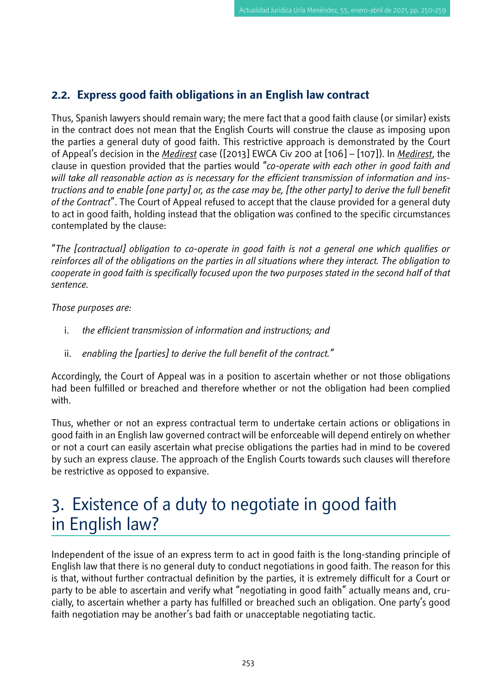#### **2.2. Express good faith obligations in an English law contract**

Thus, Spanish lawyers should remain wary; the mere fact that a good faith clause (or similar) exists in the contract does not mean that the English Courts will construe the clause as imposing upon the parties a general duty of good faith. This restrictive approach is demonstrated by the Court of Appeal's decision in the *Medirest* case ([2013] EWCA Civ 200 at [106] – [107]). In *Medirest*, the clause in question provided that the parties would "*co-operate with each other in good faith and will take all reasonable action as is necessary for the efficient transmission of information and instructions and to enable [one party] or, as the case may be, [the other party] to derive the full benefit of the Contract*". The Court of Appeal refused to accept that the clause provided for a general duty to act in good faith, holding instead that the obligation was confined to the specific circumstances contemplated by the clause:

"*The [contractual] obligation to co-operate in good faith is not a general one which qualifies or reinforces all of the obligations on the parties in all situations where they interact. The obligation to cooperate in good faith is specifically focused upon the two purposes stated in the second half of that sentence.* 

*Those purposes are:* 

- i. *the efficient transmission of information and instructions; and*
- ii. *enabling the [parties] to derive the full benefit of the contract."*

Accordingly, the Court of Appeal was in a position to ascertain whether or not those obligations had been fulfilled or breached and therefore whether or not the obligation had been complied with.

Thus, whether or not an express contractual term to undertake certain actions or obligations in good faith in an English law governed contract will be enforceable will depend entirely on whether or not a court can easily ascertain what precise obligations the parties had in mind to be covered by such an express clause. The approach of the English Courts towards such clauses will therefore be restrictive as opposed to expansive.

# 3. Existence of a duty to negotiate in good faith in English law?

Independent of the issue of an express term to act in good faith is the long-standing principle of English law that there is no general duty to conduct negotiations in good faith. The reason for this is that, without further contractual definition by the parties, it is extremely difficult for a Court or party to be able to ascertain and verify what "negotiating in good faith" actually means and, crucially, to ascertain whether a party has fulfilled or breached such an obligation. One party's good faith negotiation may be another's bad faith or unacceptable negotiating tactic.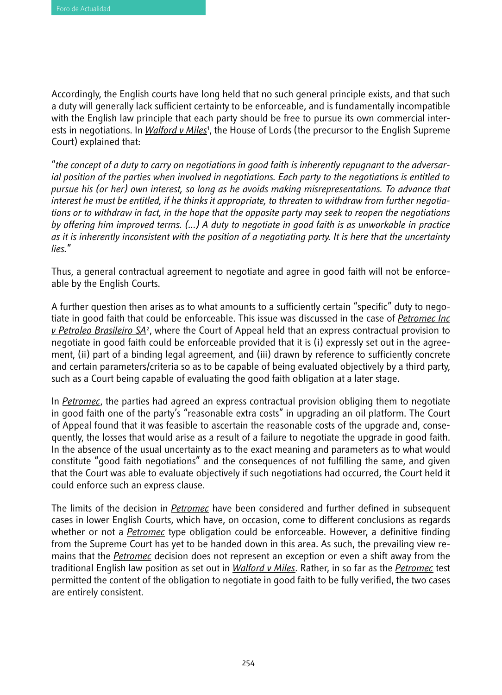Accordingly, the English courts have long held that no such general principle exists, and that such a duty will generally lack sufficient certainty to be enforceable, and is fundamentally incompatible with the English law principle that each party should be free to pursue its own commercial interests in negotiations. In <u>Walford v Miles</u>', the House of Lords (the precursor to the English Supreme Court) explained that:

"*the concept of a duty to carry on negotiations in good faith is inherently repugnant to the adversarial position of the parties when involved in negotiations. Each party to the negotiations is entitled to pursue his (or her) own interest, so long as he avoids making misrepresentations. To advance that interest he must be entitled, if he thinks it appropriate, to threaten to withdraw from further negotiations or to withdraw in fact, in the hope that the opposite party may seek to reopen the negotiations by offering him improved terms. (...) A duty to negotiate in good faith is as unworkable in practice as it is inherently inconsistent with the position of a negotiating party. It is here that the uncertainty lies.*"

Thus, a general contractual agreement to negotiate and agree in good faith will not be enforceable by the English Courts.

A further question then arises as to what amounts to a sufficiently certain "specific" duty to negotiate in good faith that could be enforceable. This issue was discussed in the case of *Petromec Inc v Petroleo Brasileiro SA*<sup>2</sup> , where the Court of Appeal held that an express contractual provision to negotiate in good faith could be enforceable provided that it is (i) expressly set out in the agreement, (ii) part of a binding legal agreement, and (iii) drawn by reference to sufficiently concrete and certain parameters/criteria so as to be capable of being evaluated objectively by a third party, such as a Court being capable of evaluating the good faith obligation at a later stage.

In *Petromec*, the parties had agreed an express contractual provision obliging them to negotiate in good faith one of the party's "reasonable extra costs" in upgrading an oil platform. The Court of Appeal found that it was feasible to ascertain the reasonable costs of the upgrade and, consequently, the losses that would arise as a result of a failure to negotiate the upgrade in good faith. In the absence of the usual uncertainty as to the exact meaning and parameters as to what would constitute "good faith negotiations" and the consequences of not fulfilling the same, and given that the Court was able to evaluate objectively if such negotiations had occurred, the Court held it could enforce such an express clause.

The limits of the decision in *Petromec* have been considered and further defined in subsequent cases in lower English Courts, which have, on occasion, come to different conclusions as regards whether or not a *Petromec* type obligation could be enforceable. However, a definitive finding from the Supreme Court has yet to be handed down in this area. As such, the prevailing view remains that the *Petromec* decision does not represent an exception or even a shift away from the traditional English law position as set out in *Walford v Miles*. Rather, in so far as the *Petromec* test permitted the content of the obligation to negotiate in good faith to be fully verified, the two cases are entirely consistent.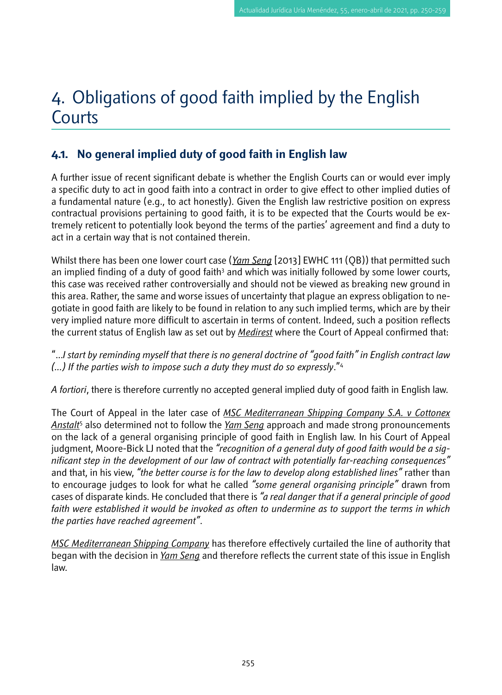## 4. Obligations of good faith implied by the English **Courts**

#### **4.1. No general implied duty of good faith in English law**

A further issue of recent significant debate is whether the English Courts can or would ever imply a specific duty to act in good faith into a contract in order to give effect to other implied duties of a fundamental nature (e.g., to act honestly). Given the English law restrictive position on express contractual provisions pertaining to good faith, it is to be expected that the Courts would be extremely reticent to potentially look beyond the terms of the parties' agreement and find a duty to act in a certain way that is not contained therein.

Whilst there has been one lower court case (*Yam Seng* [2013] EWHC 111 (QB)) that permitted such an implied finding of a duty of good faith<sup>3</sup> and which was initially followed by some lower courts, this case was received rather controversially and should not be viewed as breaking new ground in this area. Rather, the same and worse issues of uncertainty that plague an express obligation to negotiate in good faith are likely to be found in relation to any such implied terms, which are by their very implied nature more difficult to ascertain in terms of content. Indeed, such a position reflects the current status of English law as set out by *Medirest* where the Court of Appeal confirmed that:

"...*I start by reminding myself that there is no general doctrine of "good faith" in English contract law (...) If the parties wish to impose such a duty they must do so expressly*."4

*A fortiori*, there is therefore currently no accepted general implied duty of good faith in English law.

The Court of Appeal in the later case of *MSC Mediterranean Shipping Company S.A. v Cottonex Anstalt*<sup>5</sup> also determined not to follow the *Yam Seng* approach and made strong pronouncements on the lack of a general organising principle of good faith in English law. In his Court of Appeal judgment, Moore-Bick LJ noted that the *"recognition of a general duty of good faith would be a significant step in the development of our law of contract with potentially far-reaching consequences"* and that, in his view, *"the better course is for the law to develop along established lines"* rather than to encourage judges to look for what he called *"some general organising principle"* drawn from cases of disparate kinds. He concluded that there is *"a real danger that if a general principle of good*  faith were established it would be invoked as often to undermine as to support the terms in which *the parties have reached agreement"*.

*MSC Mediterranean Shipping Company* has therefore effectively curtailed the line of authority that began with the decision in *Yam Seng* and therefore reflects the current state of this issue in English law.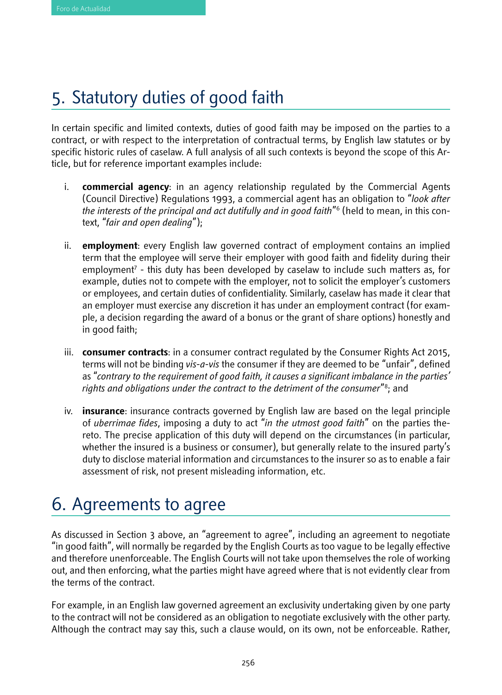# 5. Statutory duties of good faith

In certain specific and limited contexts, duties of good faith may be imposed on the parties to a contract, or with respect to the interpretation of contractual terms, by English law statutes or by specific historic rules of caselaw. A full analysis of all such contexts is beyond the scope of this Article, but for reference important examples include:

- i. **commercial agency**: in an agency relationship regulated by the Commercial Agents (Council Directive) Regulations 1993, a commercial agent has an obligation to "*look after the interests of the principal and act dutifully and in good faith*"6 (held to mean, in this context, "*fair and open dealing*");
- ii. **employment**: every English law governed contract of employment contains an implied term that the employee will serve their employer with good faith and fidelity during their employment7 - this duty has been developed by caselaw to include such matters as, for example, duties not to compete with the employer, not to solicit the employer's customers or employees, and certain duties of confidentiality. Similarly, caselaw has made it clear that an employer must exercise any discretion it has under an employment contract (for example, a decision regarding the award of a bonus or the grant of share options) honestly and in good faith;
- iii. **consumer contracts**: in a consumer contract regulated by the Consumer Rights Act 2015, terms will not be binding *vis-a-vis* the consumer if they are deemed to be "unfair", defined as "*contrary to the requirement of good faith, it causes a significant imbalance in the parties' rights and obligations under the contract to the detriment of the consumer*"8 ; and
- iv. **insurance**: insurance contracts governed by English law are based on the legal principle of *uberrimae fides*, imposing a duty to act "*in the utmost good faith*" on the parties thereto. The precise application of this duty will depend on the circumstances (in particular, whether the insured is a business or consumer), but generally relate to the insured party's duty to disclose material information and circumstances to the insurer so as to enable a fair assessment of risk, not present misleading information, etc.

# 6. Agreements to agree

As discussed in Section 3 above, an "agreement to agree", including an agreement to negotiate "in good faith", will normally be regarded by the English Courts as too vague to be legally effective and therefore unenforceable. The English Courts will not take upon themselves the role of working out, and then enforcing, what the parties might have agreed where that is not evidently clear from the terms of the contract.

For example, in an English law governed agreement an exclusivity undertaking given by one party to the contract will not be considered as an obligation to negotiate exclusively with the other party. Although the contract may say this, such a clause would, on its own, not be enforceable. Rather,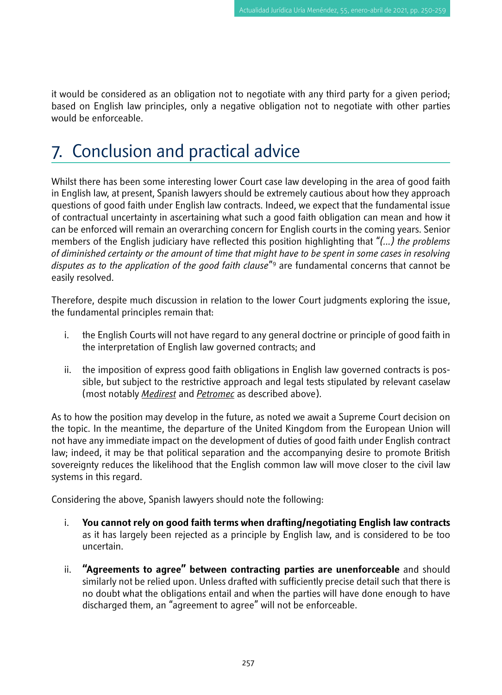it would be considered as an obligation not to negotiate with any third party for a given period; based on English law principles, only a negative obligation not to negotiate with other parties would be enforceable.

# 7. Conclusion and practical advice

Whilst there has been some interesting lower Court case law developing in the area of good faith in English law, at present, Spanish lawyers should be extremely cautious about how they approach questions of good faith under English law contracts. Indeed, we expect that the fundamental issue of contractual uncertainty in ascertaining what such a good faith obligation can mean and how it can be enforced will remain an overarching concern for English courts in the coming years. Senior members of the English judiciary have reflected this position highlighting that "*(...) the problems of diminished certainty or the amount of time that might have to be spent in some cases in resolving disputes as to the application of the good faith clause*"9 are fundamental concerns that cannot be easily resolved.

Therefore, despite much discussion in relation to the lower Court judgments exploring the issue, the fundamental principles remain that:

- i. the English Courts will not have regard to any general doctrine or principle of good faith in the interpretation of English law governed contracts; and
- ii. the imposition of express good faith obligations in English law governed contracts is possible, but subject to the restrictive approach and legal tests stipulated by relevant caselaw (most notably *Medirest* and *Petromec* as described above).

As to how the position may develop in the future, as noted we await a Supreme Court decision on the topic. In the meantime, the departure of the United Kingdom from the European Union will not have any immediate impact on the development of duties of good faith under English contract law; indeed, it may be that political separation and the accompanying desire to promote British sovereignty reduces the likelihood that the English common law will move closer to the civil law systems in this regard.

Considering the above, Spanish lawyers should note the following:

- i. **You cannot rely on good faith terms when drafting/negotiating English law contracts** as it has largely been rejected as a principle by English law, and is considered to be too uncertain.
- ii. **"Agreements to agree" between contracting parties are unenforceable** and should similarly not be relied upon. Unless drafted with sufficiently precise detail such that there is no doubt what the obligations entail and when the parties will have done enough to have discharged them, an "agreement to agree" will not be enforceable.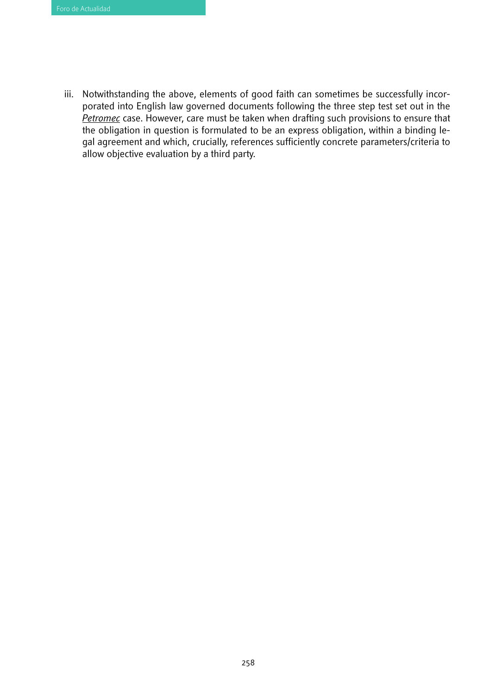iii. Notwithstanding the above, elements of good faith can sometimes be successfully incorporated into English law governed documents following the three step test set out in the *Petromec* case. However, care must be taken when drafting such provisions to ensure that the obligation in question is formulated to be an express obligation, within a binding legal agreement and which, crucially, references sufficiently concrete parameters/criteria to allow objective evaluation by a third party.